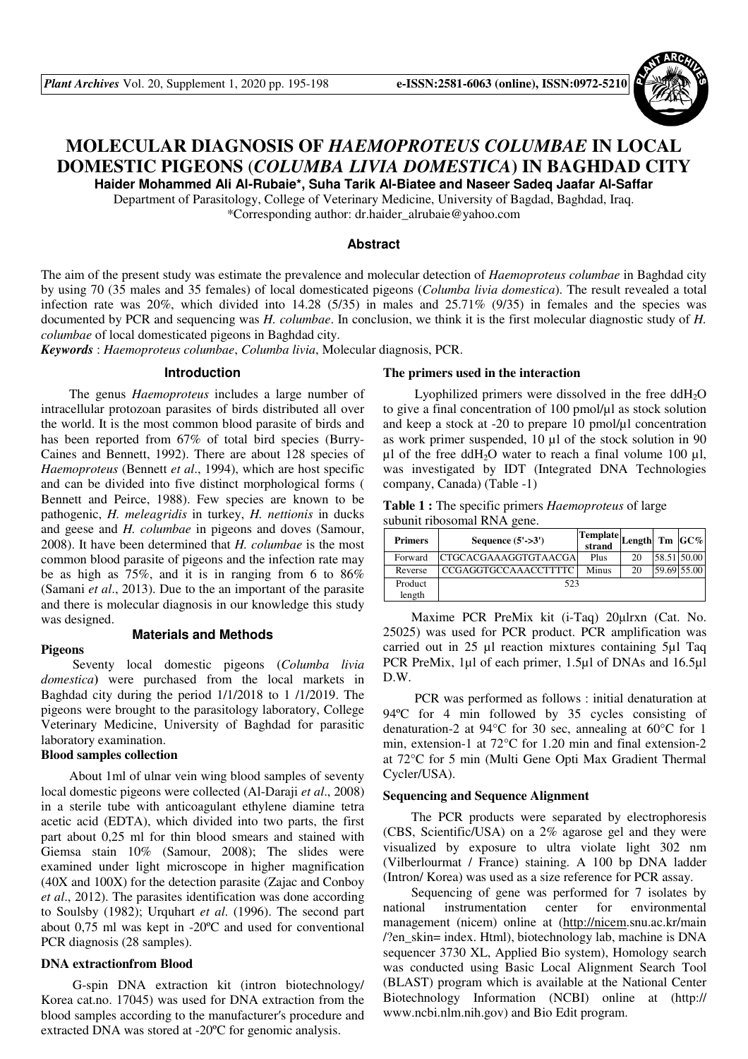

# **MOLECULAR DIAGNOSIS OF** *HAEMOPROTEUS COLUMBAE* **IN LOCAL DOMESTIC PIGEONS** (*COLUMBA LIVIA DOMESTICA***) IN BAGHDAD CITY**

**Haider Mohammed Ali Al-Rubaie\*, Suha Tarik Al-Biatee and Naseer Sadeq Jaafar Al-Saffar** 

Department of Parasitology, College of Veterinary Medicine, University of Bagdad, Baghdad, Iraq. \*Corresponding author: dr.haider\_alrubaie@yahoo.com

#### **Abstract**

The aim of the present study was estimate the prevalence and molecular detection of *Haemoproteus columbae* in Baghdad city by using 70 (35 males and 35 females) of local domesticated pigeons (*Columba livia domestica*). The result revealed a total infection rate was 20%, which divided into 14.28 (5/35) in males and 25.71% (9/35) in females and the species was documented by PCR and sequencing was *H. columbae*. In conclusion, we think it is the first molecular diagnostic study of *H. columbae* of local domesticated pigeons in Baghdad city.

*Keywords* : *Haemoproteus columbae*, *Columba livia*, Molecular diagnosis, PCR.

#### **Introduction**

The genus *Haemoproteus* includes a large number of intracellular protozoan parasites of birds distributed all over the world. It is the most common blood parasite of birds and has been reported from 67% of total bird species (Burry-Caines and Bennett, 1992). There are about 128 species of *Haemoproteus* (Bennett *et al*., 1994), which are host specific and can be divided into five distinct morphological forms ( Bennett and Peirce, 1988). Few species are known to be pathogenic, *H. meleagridis* in turkey, *H. nettionis* in ducks and geese and *H. columbae* in pigeons and doves (Samour, 2008). It have been determined that *H. columbae* is the most common blood parasite of pigeons and the infection rate may be as high as 75%, and it is in ranging from 6 to 86% (Samani *et al*., 2013). Due to the an important of the parasite and there is molecular diagnosis in our knowledge this study was designed.

#### **Pigeons**

#### **Materials and Methods**

 Seventy local domestic pigeons (*Columba livia domestica***)** were purchased from the local markets in Baghdad city during the period 1/1/2018 to 1 /1/2019. The pigeons were brought to the parasitology laboratory, College Veterinary Medicine, University of Baghdad for parasitic laboratory examination.

### **Blood samples collection**

About 1ml of ulnar vein wing blood samples of seventy local domestic pigeons were collected (Al-Daraji *et al*., 2008) in a sterile tube with anticoagulant ethylene diamine tetra acetic acid (EDTA), which divided into two parts, the first part about 0,25 ml for thin blood smears and stained with Giemsa stain 10% (Samour, 2008); The slides were examined under light microscope in higher magnification (40X and 100X) for the detection parasite (Zajac and Conboy *et al*., 2012). The parasites identification was done according to Soulsby (1982); Urquhart *et al*. (1996). The second part about 0,75 ml was kept in -20ºC and used for conventional PCR diagnosis (28 samples).

#### **DNA extractionfrom Blood**

 G-spin DNA extraction kit (intron biotechnology/ Korea cat.no. 17045) was used for DNA extraction from the blood samples according to the manufacturer′s procedure and extracted DNA was stored at -20ºC for genomic analysis.

#### **The primers used in the interaction**

Lyophilized primers were dissolved in the free  $ddH<sub>2</sub>O$ to give a final concentration of 100 pmol/µl as stock solution and keep a stock at -20 to prepare 10 pmol/µl concentration as work primer suspended, 10 µl of the stock solution in 90  $\mu$ l of the free ddH<sub>2</sub>O water to reach a final volume 100  $\mu$ l, was investigated by IDT (Integrated DNA Technologies company, Canada) (Table -1)

| <b>Table 1:</b> The specific primers <i>Haemoproteus</i> of large |  |
|-------------------------------------------------------------------|--|
| subunit ribosomal RNA gene.                                       |  |

| <b>Primers</b> | Sequence $(5'-3')$          | Template.<br>strand | Length $Tm$ $GC\%$ |             |
|----------------|-----------------------------|---------------------|--------------------|-------------|
| Forward        | CTGCACGAAAGGTGTAACGA        | Plus                | 20                 | 58.51 50.00 |
| Reverse        | <b>CCGAGGTGCCAAACCTTTTC</b> | Minus               | 20                 | 59.69 55.00 |
| Product        | 523                         |                     |                    |             |
| length         |                             |                     |                    |             |

Maxime PCR PreMix kit (i-Taq) 20µlrxn (Cat. No. 25025) was used for PCR product. PCR amplification was carried out in 25 µl reaction mixtures containing 5µl Taq PCR PreMix, 1µl of each primer, 1.5µl of DNAs and 16.5µl D.W.

 PCR was performed as follows : initial denaturation at 94ºC for 4 min followed by 35 cycles consisting of denaturation-2 at 94°C for 30 sec, annealing at 60°C for 1 min, extension-1 at 72°C for 1.20 min and final extension-2 at 72°C for 5 min (Multi Gene Opti Max Gradient Thermal Cycler/USA).

#### **Sequencing and Sequence Alignment**

The PCR products were separated by electrophoresis (CBS, Scientific/USA) on a 2% agarose gel and they were visualized by exposure to ultra violate light 302 nm (Vilberlourmat / France) staining. A 100 bp DNA ladder (Intron/ Korea) was used as a size reference for PCR assay.

Sequencing of gene was performed for 7 isolates by national instrumentation center for environmental management (nicem) online at (http://nicem.snu.ac.kr/main /?en\_skin= index. Html), biotechnology lab, machine is DNA sequencer 3730 XL, Applied Bio system), Homology search was conducted using Basic Local Alignment Search Tool (BLAST) program which is available at the National Center Biotechnology Information (NCBI) online at (http:// www.ncbi.nlm.nih.gov) and Bio Edit program.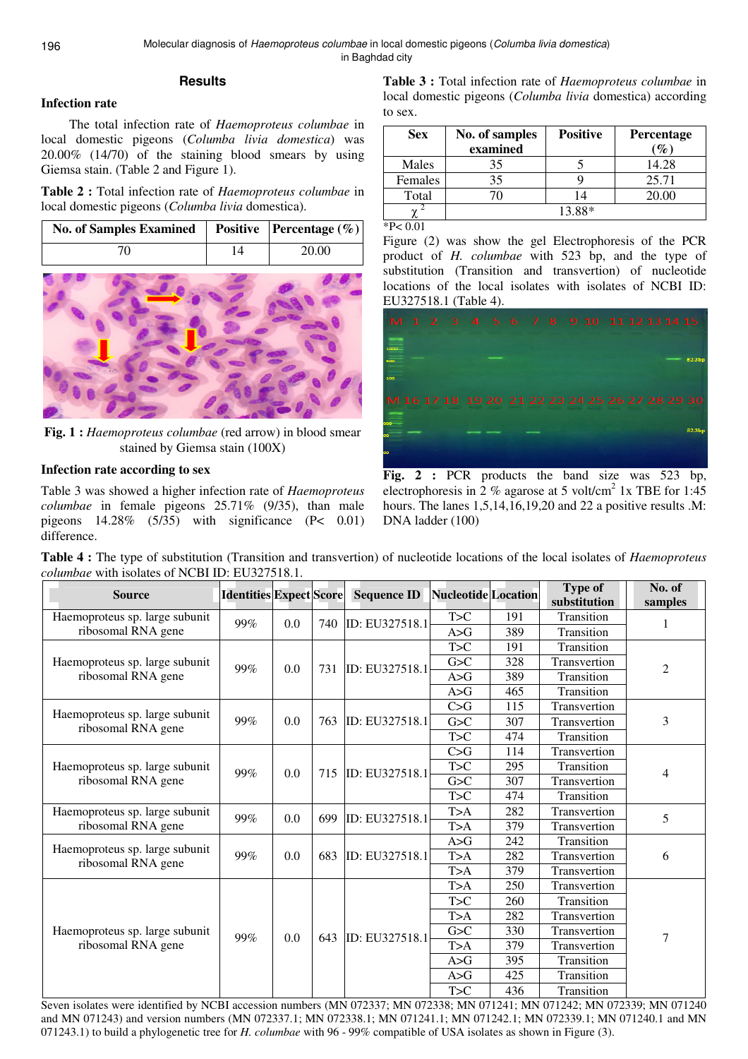# **Results**

# **Infection rate**

The total infection rate of *Haemoproteus columbae* in local domestic pigeons (*Columba livia domestica*) was 20.00% (14/70) of the staining blood smears by using Giemsa stain. (Table 2 and Figure 1).

**Table 2 :** Total infection rate of *Haemoproteus columbae* in local domestic pigeons (*Columba livia* domestica).

| No. of Samples Examined   Positive   Percentage $(\%)$ |    |       |
|--------------------------------------------------------|----|-------|
|                                                        | ۱4 | 20.00 |



**Fig. 1 :** *Haemoproteus columbae* (red arrow) in blood smear stained by Giemsa stain (100X)

# **Infection rate according to sex**

Table 3 was showed a higher infection rate of *Haemoproteus columbae* in female pigeons 25.71% (9/35), than male pigeons 14.28% (5/35) with significance (P< 0.01) difference.

**Table 3 :** Total infection rate of *Haemoproteus columbae* in local domestic pigeons (*Columba livia* domestica) according to sex.

| <b>Sex</b>            | No. of samples<br>examined | <b>Positive</b> | Percentage<br>$\mathcal{O}_{\mathcal{O}}$ |
|-----------------------|----------------------------|-----------------|-------------------------------------------|
| Males                 | 35                         |                 | 14.28                                     |
| Females               | 35                         |                 | 25.71                                     |
| Total                 |                            | 14              | 20.00                                     |
|                       |                            | 13.88*          |                                           |
| $*D \cdot \Omega$ 0.1 |                            |                 |                                           |

 $P< 0.01$ 

Figure (2) was show the gel Electrophoresis of the PCR product of *H. columbae* with 523 bp, and the type of substitution (Transition and transvertion) of nucleotide locations of the local isolates with isolates of NCBI ID: EU327518.1 (Table 4).



**Fig. 2 :** PCR products the band size was 523 bp, electrophoresis in 2 % agarose at 5 volt/cm<sup>2</sup> 1x TBE for 1:45 hours. The lanes 1,5,14,16,19,20 and 22 a positive results .M: DNA ladder (100)

**Table 4 :** The type of substitution (Transition and transvertion) of nucleotide locations of the local isolates of *Haemoproteus columbae* with isolates of NCBI ID: EU327518.1.

| <b>Source</b>                                        | <b>Identities Expect Score</b> |     |     | <b>Sequence ID</b> | <b>Nucleotide</b> Location |     | <b>Type of</b><br>substitution | No. of<br>samples |            |            |     |     |            |  |
|------------------------------------------------------|--------------------------------|-----|-----|--------------------|----------------------------|-----|--------------------------------|-------------------|------------|------------|-----|-----|------------|--|
| Haemoproteus sp. large subunit                       |                                | 0.0 | 740 | ID: EU327518.1     | T>C                        | 191 | Transition                     | 1                 |            |            |     |     |            |  |
| ribosomal RNA gene                                   | 99%                            |     |     |                    | A>G                        | 389 | Transition                     |                   |            |            |     |     |            |  |
|                                                      |                                |     | 731 | ID: EU327518.1     | T>C                        | 191 | Transition                     | $\overline{c}$    |            |            |     |     |            |  |
| Haemoproteus sp. large subunit<br>ribosomal RNA gene | 99%                            | 0.0 |     |                    | G>C                        | 328 | Transvertion                   |                   |            |            |     |     |            |  |
|                                                      |                                |     |     |                    | A>G                        | 389 | Transition                     |                   |            |            |     |     |            |  |
|                                                      |                                |     |     |                    | A>G                        | 465 | Transition                     |                   |            |            |     |     |            |  |
|                                                      |                                |     | 763 | ID: EU327518.1     | C > G                      | 115 | Transvertion                   | 3                 |            |            |     |     |            |  |
| Haemoproteus sp. large subunit<br>ribosomal RNA gene | 99%                            | 0.0 |     |                    | G>C                        | 307 | Transvertion                   |                   |            |            |     |     |            |  |
|                                                      |                                |     |     |                    | T>C                        | 474 | Transition                     |                   |            |            |     |     |            |  |
|                                                      |                                |     | 715 | ID: EU327518.1     | C > G                      | 114 | Transvertion                   | 4                 |            |            |     |     |            |  |
| Haemoproteus sp. large subunit                       | 99%                            | 0.0 |     |                    | T>C                        | 295 | Transition                     |                   |            |            |     |     |            |  |
| ribosomal RNA gene                                   |                                |     |     |                    | G>C                        | 307 | Transvertion                   |                   |            |            |     |     |            |  |
|                                                      |                                |     |     |                    | T>C                        | 474 | Transition                     |                   |            |            |     |     |            |  |
| Haemoproteus sp. large subunit                       | 99%                            |     | 0.0 | 699                | ID: EU327518.1             | T>A | 282                            | Transvertion      | 5          |            |     |     |            |  |
| ribosomal RNA gene                                   |                                |     |     |                    | T>A                        | 379 | Transvertion                   |                   |            |            |     |     |            |  |
| Haemoproteus sp. large subunit                       |                                |     |     |                    |                            |     |                                |                   |            |            | A>G | 242 | Transition |  |
| ribosomal RNA gene                                   | 99%                            | 0.0 | 683 | ID: EU327518.1     | T>A                        | 282 | Transvertion                   | 6                 |            |            |     |     |            |  |
|                                                      |                                |     |     |                    | T>A                        | 379 | Transvertion                   |                   |            |            |     |     |            |  |
|                                                      | 99%                            |     |     | ID: EU327518.1     | T>A                        | 250 | Transvertion                   | $\tau$            |            |            |     |     |            |  |
|                                                      |                                |     | 643 |                    | T>C                        | 260 | Transition                     |                   |            |            |     |     |            |  |
|                                                      |                                |     |     |                    | T>A                        | 282 | Transvertion                   |                   |            |            |     |     |            |  |
| Haemoproteus sp. large subunit                       |                                | 0.0 |     |                    | G>C                        | 330 | Transvertion                   |                   |            |            |     |     |            |  |
| ribosomal RNA gene                                   |                                |     |     |                    | T>A                        | 379 | Transvertion                   |                   |            |            |     |     |            |  |
|                                                      |                                |     |     |                    |                            |     |                                | A>G               | 395        | Transition |     |     |            |  |
|                                                      |                                |     |     |                    |                            |     | A>G                            | 425               | Transition |            |     |     |            |  |
|                                                      |                                |     |     |                    | T>C                        | 436 | Transition                     |                   |            |            |     |     |            |  |

Seven isolates were identified by NCBI accession numbers (MN 072337; MN 072338; MN 071241; MN 071242; MN 072339; MN 071240 and MN 071243) and version numbers (MN 072337.1; MN 072338.1; MN 071241.1; MN 071242.1; MN 072339.1; MN 071240.1 and MN 071243.1) to build a phylogenetic tree for *H. columbae* with 96 - 99% compatible of USA isolates as shown in Figure (3).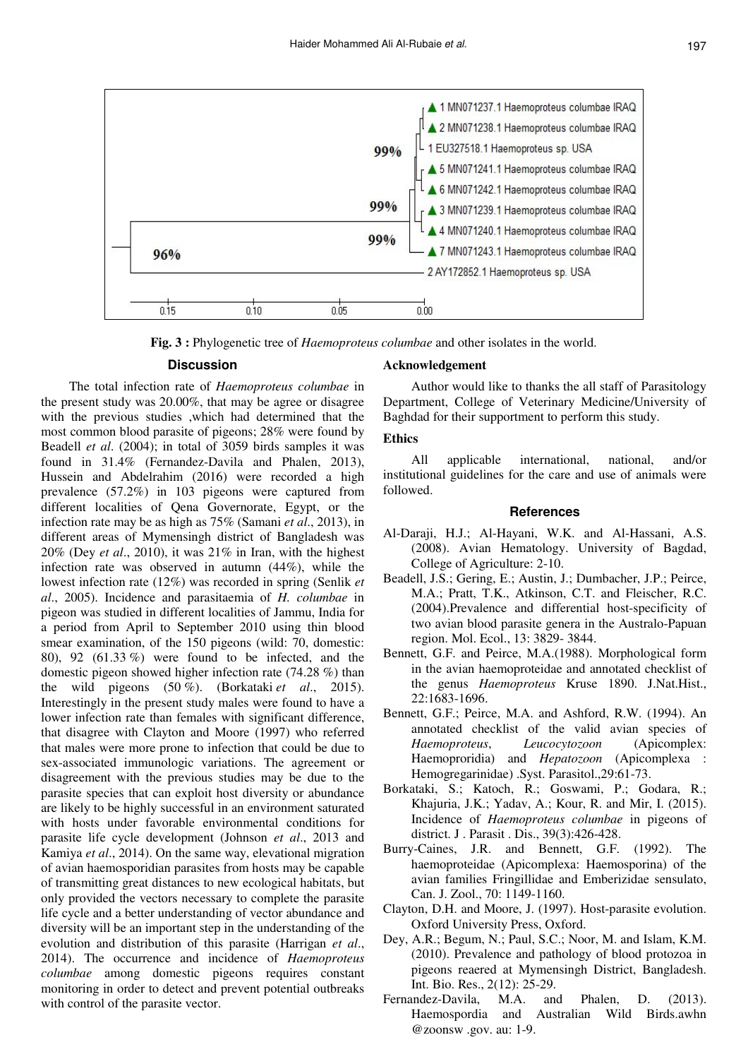

**Fig. 3 :** Phylogenetic tree of *Haemoproteus columbae* and other isolates in the world.

#### **Discussion**

The total infection rate of *Haemoproteus columbae* in the present study was 20.00%, that may be agree or disagree with the previous studies ,which had determined that the most common blood parasite of pigeons; 28% were found by Beadell *et al*. (2004); in total of 3059 birds samples it was found in 31.4% (Fernandez-Davila and Phalen, 2013), Hussein and Abdelrahim (2016) were recorded a high prevalence (57.2%) in 103 pigeons were captured from different localities of Qena Governorate, Egypt, or the infection rate may be as high as 75% (Samani *et al*., 2013), in different areas of Mymensingh district of Bangladesh was 20% (Dey *et al*., 2010), it was 21% in Iran, with the highest infection rate was observed in autumn (44%), while the lowest infection rate (12%) was recorded in spring (Senlik *et al*., 2005). Incidence and parasitaemia of *H. columbae* in pigeon was studied in different localities of Jammu, India for a period from April to September 2010 using thin blood smear examination, of the 150 pigeons (wild: 70, domestic: 80), 92 (61.33 %) were found to be infected, and the domestic pigeon showed higher infection rate (74.28 %) than the wild pigeons (50 %). (Borkataki *et al*., 2015). Interestingly in the present study males were found to have a lower infection rate than females with significant difference, that disagree with Clayton and Moore (1997) who referred that males were more prone to infection that could be due to sex-associated immunologic variations. The agreement or disagreement with the previous studies may be due to the parasite species that can exploit host diversity or abundance are likely to be highly successful in an environment saturated with hosts under favorable environmental conditions for parasite life cycle development (Johnson *et al*., 2013 and Kamiya *et al*., 2014). On the same way, elevational migration of avian haemosporidian parasites from hosts may be capable of transmitting great distances to new ecological habitats, but only provided the vectors necessary to complete the parasite life cycle and a better understanding of vector abundance and diversity will be an important step in the understanding of the evolution and distribution of this parasite (Harrigan *et al*., 2014). The occurrence and incidence of *Haemoproteus columbae* among domestic pigeons requires constant monitoring in order to detect and prevent potential outbreaks with control of the parasite vector.

#### **Acknowledgement**

Author would like to thanks the all staff of Parasitology Department, College of Veterinary Medicine/University of Baghdad for their supportment to perform this study.

## **Ethics**

All applicable international, national, and/or institutional guidelines for the care and use of animals were followed.

#### **References**

- Al-Daraji, H.J.; Al-Hayani, W.K. and Al-Hassani, A.S. (2008). Avian Hematology. University of Bagdad, College of Agriculture: 2-10.
- Beadell, J.S.; Gering, E.; Austin, J.; Dumbacher, J.P.; Peirce, M.A.; Pratt, T.K., Atkinson, C.T. and Fleischer, R.C. (2004).Prevalence and differential host-specificity of two avian blood parasite genera in the Australo-Papuan region. Mol. Ecol., 13: 3829- 3844.
- Bennett, G.F. and Peirce, M.A.(1988). Morphological form in the avian haemoproteidae and annotated checklist of the genus *Haemoproteus* Kruse 1890. J.Nat.Hist., 22:1683-1696.
- Bennett, G.F.; Peirce, M.A. and Ashford, R.W. (1994). An annotated checklist of the valid avian species of *Haemoproteus*, *Leucocytozoon* (Apicomplex: Haemoproridia) and *Hepatozoon* (Apicomplexa : Hemogregarinidae) .Syst. Parasitol.,29:61-73.
- Borkataki, S.; Katoch, R.; Goswami, P.; Godara, R.; Khajuria, J.K.; Yadav, A.; Kour, R. and Mir, I. (2015). Incidence of *Haemoproteus columbae* in pigeons of district. J . Parasit . Dis., 39(3):426-428.
- Burry-Caines, J.R. and Bennett, G.F. (1992). The haemoproteidae (Apicomplexa: Haemosporina) of the avian families Fringillidae and Emberizidae sensulato, Can. J. Zool., 70: 1149-1160.
- Clayton, D.H. and Moore, J. (1997). Host-parasite evolution. Oxford University Press, Oxford.
- Dey, A.R.; Begum, N.; Paul, S.C.; Noor, M. and Islam, K.M. (2010). Prevalence and pathology of blood protozoa in pigeons reaered at Mymensingh District, Bangladesh. Int. Bio. Res., 2(12): 25-29.
- Fernandez-Davila, M.A. and Phalen, D. (2013). Haemospordia and Australian Wild Birds.awhn @zoonsw .gov. au: 1-9.